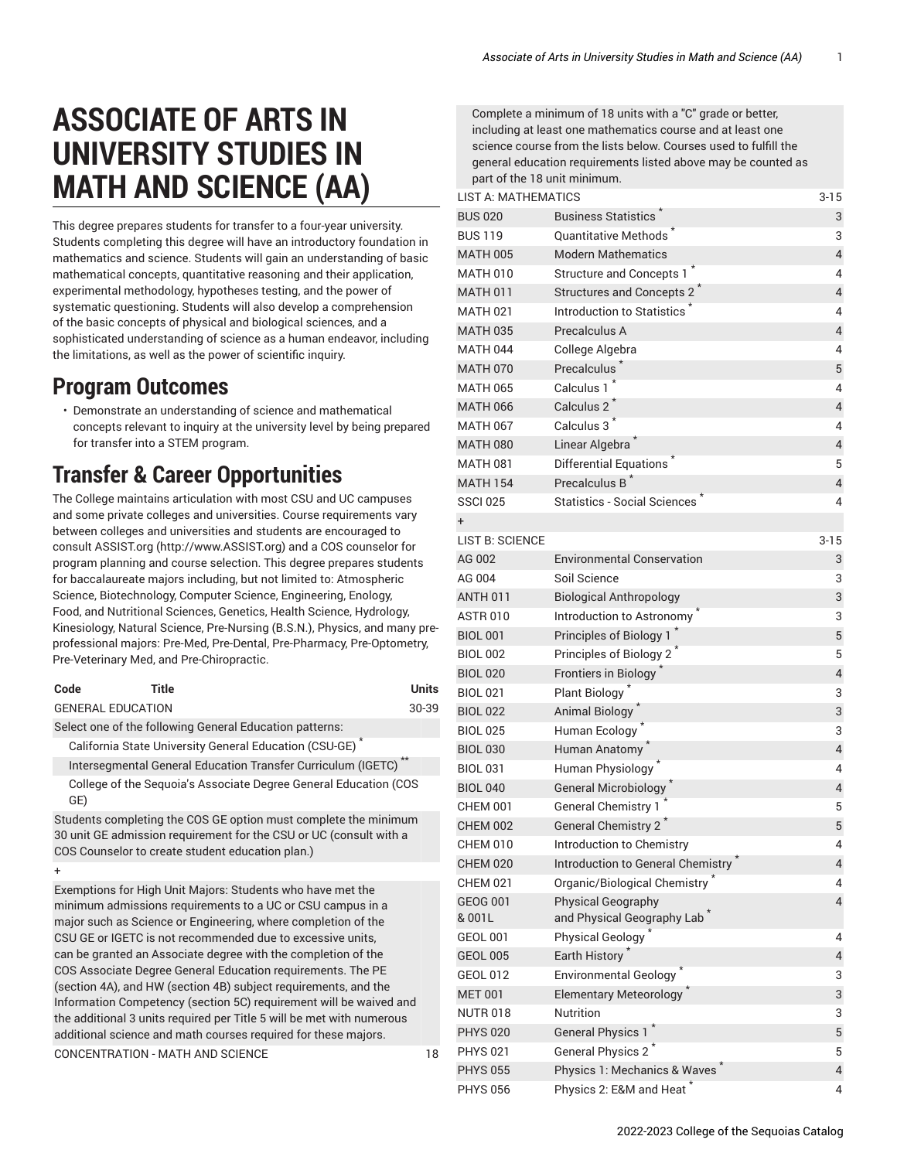## **ASSOCIATE OF ARTS IN UNIVERSITY STUDIES IN MATH AND SCIENCE (AA)**

This degree prepares students for transfer to a four-year university. Students completing this degree will have an introductory foundation in mathematics and science. Students will gain an understanding of basic mathematical concepts, quantitative reasoning and their application, experimental methodology, hypotheses testing, and the power of systematic questioning. Students will also develop a comprehension of the basic concepts of physical and biological sciences, and a sophisticated understanding of science as a human endeavor, including the limitations, as well as the power of scientific inquiry.

## **Program Outcomes**

• Demonstrate an understanding of science and mathematical concepts relevant to inquiry at the university level by being prepared for transfer into a STEM program.

## **Transfer & Career Opportunities**

The College maintains articulation with most CSU and UC campuses and some private colleges and universities. Course requirements vary between colleges and universities and students are encouraged to consult [ASSIST.org \(http://www.ASSIST.org](http://www.ASSIST.org)) and a COS counselor for program planning and course selection. This degree prepares students for baccalaureate majors including, but not limited to: Atmospheric Science, Biotechnology, Computer Science, Engineering, Enology, Food, and Nutritional Sciences, Genetics, Health Science, Hydrology, Kinesiology, Natural Science, Pre-Nursing (B.S.N.), Physics, and many preprofessional majors: Pre-Med, Pre-Dental, Pre-Pharmacy, Pre-Optometry, Pre-Veterinary Med, and Pre-Chiropractic.

| Code                     | Title                                                                                                                                                                                                                                                                                                                                                                                                                                                                                                                                                                                                     | <b>Units</b> |
|--------------------------|-----------------------------------------------------------------------------------------------------------------------------------------------------------------------------------------------------------------------------------------------------------------------------------------------------------------------------------------------------------------------------------------------------------------------------------------------------------------------------------------------------------------------------------------------------------------------------------------------------------|--------------|
| <b>GENERAL EDUCATION</b> |                                                                                                                                                                                                                                                                                                                                                                                                                                                                                                                                                                                                           | 30-39        |
|                          | Select one of the following General Education patterns:                                                                                                                                                                                                                                                                                                                                                                                                                                                                                                                                                   |              |
|                          | California State University General Education (CSU-GE) <sup>*</sup>                                                                                                                                                                                                                                                                                                                                                                                                                                                                                                                                       |              |
|                          | Intersegmental General Education Transfer Curriculum (IGETC)                                                                                                                                                                                                                                                                                                                                                                                                                                                                                                                                              |              |
| GE)                      | College of the Seguoia's Associate Degree General Education (COS                                                                                                                                                                                                                                                                                                                                                                                                                                                                                                                                          |              |
|                          | Students completing the COS GE option must complete the minimum<br>30 unit GE admission requirement for the CSU or UC (consult with a<br>COS Counselor to create student education plan.)                                                                                                                                                                                                                                                                                                                                                                                                                 |              |
| $\ddot{}$                |                                                                                                                                                                                                                                                                                                                                                                                                                                                                                                                                                                                                           |              |
|                          | Exemptions for High Unit Majors: Students who have met the<br>minimum admissions requirements to a UC or CSU campus in a<br>major such as Science or Engineering, where completion of the<br>CSU GE or IGETC is not recommended due to excessive units,<br>can be granted an Associate degree with the completion of the<br>COS Associate Degree General Education requirements. The PE<br>(section 4A), and HW (section 4B) subject requirements, and the<br>Information Competency (section 5C) requirement will be waived and<br>the additional 3 units required per Title 5 will be met with numerous |              |

additional science and math courses required for these majors.

CONCENTRATION - MATH AND SCIENCE 18

Complete a minimum of 18 units with a "C" grade or better, including at least one mathematics course and at least one science course from the lists below. Courses used to fulfill the general education requirements listed above may be counted as part of the 18 unit minimum.

| <b>LIST A: MATHEMATICS</b> |                                                                      |                          |
|----------------------------|----------------------------------------------------------------------|--------------------------|
| <b>BUS 020</b>             | <b>Business Statistics</b>                                           | 3                        |
| <b>BUS 119</b>             | <b>Quantitative Methods</b>                                          | 3                        |
| <b>MATH 005</b>            | <b>Modern Mathematics</b>                                            | $\overline{\mathcal{L}}$ |
| <b>MATH 010</b>            | <b>Structure and Concepts 1</b>                                      | 4                        |
| <b>MATH 011</b>            | <b>Structures and Concepts 2</b>                                     | $\overline{\mathbf{4}}$  |
| <b>MATH 021</b>            | Introduction to Statistics                                           | 4                        |
| <b>MATH 035</b>            | Precalculus A                                                        | 4                        |
| <b>MATH 044</b>            | College Algebra                                                      | 4                        |
| <b>MATH 070</b>            | Precalculus <sup>®</sup>                                             | 5                        |
| <b>MATH 065</b>            | Calculus 1                                                           | 4                        |
| <b>MATH 066</b>            | Calculus 2                                                           | $\sqrt{4}$               |
| <b>MATH 067</b>            | Calculus 3 <sup>*</sup>                                              | 4                        |
| <b>MATH 080</b>            | Linear Algebra <sup>*</sup>                                          | 4                        |
| <b>MATH 081</b>            | <b>Differential Equations</b>                                        | 5                        |
| <b>MATH 154</b>            | Precalculus B <sup>*</sup>                                           | $\overline{\mathcal{L}}$ |
| <b>SSCI 025</b>            | Statistics - Social Sciences                                         | 4                        |
| +                          |                                                                      |                          |
| <b>LIST B: SCIENCE</b>     |                                                                      | $3 - 15$                 |
| AG 002                     | <b>Environmental Conservation</b>                                    | 3                        |
| AG 004                     | Soil Science                                                         | 3                        |
| <b>ANTH 011</b>            | <b>Biological Anthropology</b>                                       | 3                        |
| <b>ASTR 010</b>            | Introduction to Astronomy                                            | 3                        |
| <b>BIOL 001</b>            | Principles of Biology 1                                              | 5                        |
| <b>BIOL 002</b>            | Principles of Biology 2                                              | 5                        |
| <b>BIOL 020</b>            | Frontiers in Biology <sup>^</sup>                                    | 4                        |
| <b>BIOL 021</b>            | <b>Plant Biology</b>                                                 | 3                        |
| <b>BIOL 022</b>            | <b>Animal Biology</b>                                                | 3                        |
| <b>BIOL 025</b>            | Human Ecology                                                        | 3                        |
| <b>BIOL 030</b>            | Human Anatomy                                                        | $\overline{\mathbf{4}}$  |
| <b>BIOL 031</b>            | Human Physiology                                                     | 4                        |
| <b>BIOL 040</b>            | <b>General Microbiology</b>                                          | 4                        |
| <b>CHEM 001</b>            | <b>General Chemistry 1</b>                                           | 5                        |
| <b>CHEM 002</b>            | General Chemistry 2                                                  | 5                        |
| <b>CHEM 010</b>            | Introduction to Chemistry                                            | 4                        |
| <b>CHEM 020</b>            | Introduction to General Chemistry                                    | $\overline{\mathbf{4}}$  |
| <b>CHEM 021</b>            | Organic/Biological Chemistry <sup>*</sup>                            | 4                        |
| <b>GEOG 001</b><br>&001L   | <b>Physical Geography</b><br>and Physical Geography Lab <sup>*</sup> | 4                        |
| <b>GEOL 001</b>            | <b>Physical Geology</b>                                              | 4                        |
| <b>GEOL 005</b>            | Earth History                                                        | 4                        |
| <b>GEOL 012</b>            | Environmental Geology                                                | 3                        |
| <b>MET 001</b>             | <b>Elementary Meteorology</b>                                        | 3                        |
| <b>NUTR 018</b>            | <b>Nutrition</b>                                                     | 3                        |
| <b>PHYS 020</b>            | <b>General Physics 1</b>                                             | 5                        |
| <b>PHYS 021</b>            | General Physics 2 <sup>^</sup>                                       | 5                        |
| <b>PHYS 055</b>            | Physics 1: Mechanics & Waves                                         | $\overline{4}$           |
| <b>PHYS 056</b>            | Physics 2: E&M and Heat                                              | 4                        |
|                            |                                                                      |                          |

2022-2023 College of the Sequoias Catalog